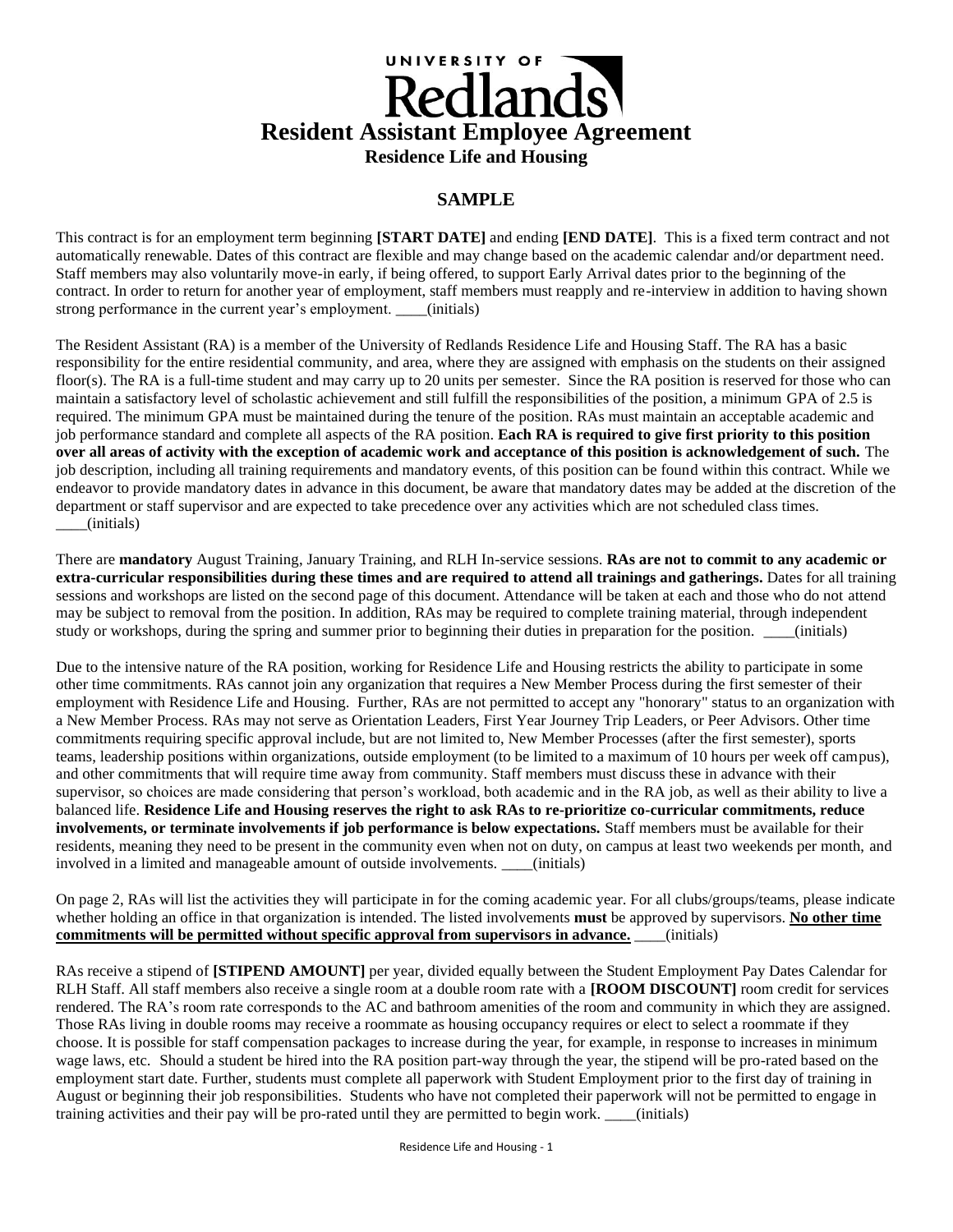# UNIVERSITY OF **Resident Assistant Employee Agreement Residence Life and Housing**

# **SAMPLE**

This contract is for an employment term beginning **[START DATE]** and ending **[END DATE]**. This is a fixed term contract and not automatically renewable. Dates of this contract are flexible and may change based on the academic calendar and/or department need. Staff members may also voluntarily move-in early, if being offered, to support Early Arrival dates prior to the beginning of the contract. In order to return for another year of employment, staff members must reapply and re-interview in addition to having shown strong performance in the current year's employment. \_\_\_\_(initials)

The Resident Assistant (RA) is a member of the University of Redlands Residence Life and Housing Staff. The RA has a basic responsibility for the entire residential community, and area, where they are assigned with emphasis on the students on their assigned floor(s). The RA is a full-time student and may carry up to 20 units per semester. Since the RA position is reserved for those who can maintain a satisfactory level of scholastic achievement and still fulfill the responsibilities of the position, a minimum GPA of 2.5 is required. The minimum GPA must be maintained during the tenure of the position. RAs must maintain an acceptable academic and job performance standard and complete all aspects of the RA position. **Each RA is required to give first priority to this position over all areas of activity with the exception of academic work and acceptance of this position is acknowledgement of such.** The job description, including all training requirements and mandatory events, of this position can be found within this contract. While we endeavor to provide mandatory dates in advance in this document, be aware that mandatory dates may be added at the discretion of the department or staff supervisor and are expected to take precedence over any activities which are not scheduled class times. \_\_\_\_(initials)

There are **mandatory** August Training, January Training, and RLH In-service sessions. **RAs are not to commit to any academic or extra-curricular responsibilities during these times and are required to attend all trainings and gatherings.** Dates for all training sessions and workshops are listed on the second page of this document. Attendance will be taken at each and those who do not attend may be subject to removal from the position. In addition, RAs may be required to complete training material, through independent study or workshops, during the spring and summer prior to beginning their duties in preparation for the position. \_\_\_(initials)

Due to the intensive nature of the RA position, working for Residence Life and Housing restricts the ability to participate in some other time commitments. RAs cannot join any organization that requires a New Member Process during the first semester of their employment with Residence Life and Housing. Further, RAs are not permitted to accept any "honorary" status to an organization with a New Member Process. RAs may not serve as Orientation Leaders, First Year Journey Trip Leaders, or Peer Advisors. Other time commitments requiring specific approval include, but are not limited to, New Member Processes (after the first semester), sports teams, leadership positions within organizations, outside employment (to be limited to a maximum of 10 hours per week off campus), and other commitments that will require time away from community. Staff members must discuss these in advance with their supervisor, so choices are made considering that person's workload, both academic and in the RA job, as well as their ability to live a balanced life. **Residence Life and Housing reserves the right to ask RAs to re-prioritize co-curricular commitments, reduce involvements, or terminate involvements if job performance is below expectations.** Staff members must be available for their residents, meaning they need to be present in the community even when not on duty, on campus at least two weekends per month, and involved in a limited and manageable amount of outside involvements. \_\_\_\_(initials)

On page 2, RAs will list the activities they will participate in for the coming academic year. For all clubs/groups/teams, please indicate whether holding an office in that organization is intended. The listed involvements **must** be approved by supervisors. **No other time commitments will be permitted without specific approval from supervisors in advance.** \_\_\_\_(initials)

RAs receive a stipend of **[STIPEND AMOUNT]** per year, divided equally between the Student Employment Pay Dates Calendar for RLH Staff. All staff members also receive a single room at a double room rate with a **[ROOM DISCOUNT]** room credit for services rendered. The RA's room rate corresponds to the AC and bathroom amenities of the room and community in which they are assigned. Those RAs living in double rooms may receive a roommate as housing occupancy requires or elect to select a roommate if they choose. It is possible for staff compensation packages to increase during the year, for example, in response to increases in minimum wage laws, etc. Should a student be hired into the RA position part-way through the year, the stipend will be pro-rated based on the employment start date. Further, students must complete all paperwork with Student Employment prior to the first day of training in August or beginning their job responsibilities. Students who have not completed their paperwork will not be permitted to engage in training activities and their pay will be pro-rated until they are permitted to begin work. (initials)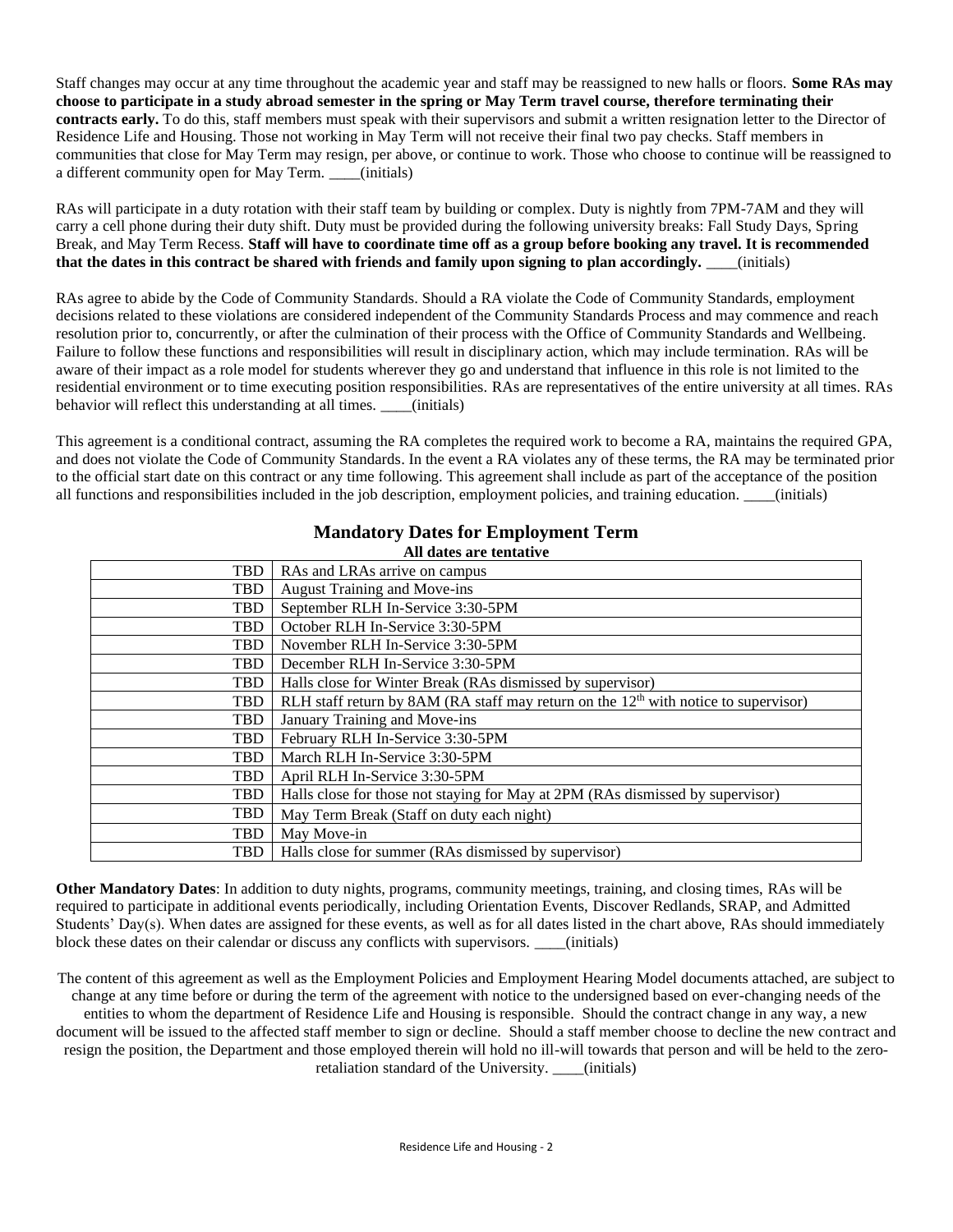Staff changes may occur at any time throughout the academic year and staff may be reassigned to new halls or floors. **Some RAs may choose to participate in a study abroad semester in the spring or May Term travel course, therefore terminating their contracts early.** To do this, staff members must speak with their supervisors and submit a written resignation letter to the Director of Residence Life and Housing. Those not working in May Term will not receive their final two pay checks. Staff members in communities that close for May Term may resign, per above, or continue to work. Those who choose to continue will be reassigned to a different community open for May Term. \_\_\_\_(initials)

RAs will participate in a duty rotation with their staff team by building or complex. Duty is nightly from 7PM-7AM and they will carry a cell phone during their duty shift. Duty must be provided during the following university breaks: Fall Study Days, Spring Break, and May Term Recess. **Staff will have to coordinate time off as a group before booking any travel. It is recommended that the dates in this contract be shared with friends and family upon signing to plan accordingly.** \_\_\_\_(initials)

RAs agree to abide by the Code of Community Standards. Should a RA violate the Code of Community Standards, employment decisions related to these violations are considered independent of the Community Standards Process and may commence and reach resolution prior to, concurrently, or after the culmination of their process with the Office of Community Standards and Wellbeing. Failure to follow these functions and responsibilities will result in disciplinary action, which may include termination. RAs will be aware of their impact as a role model for students wherever they go and understand that influence in this role is not limited to the residential environment or to time executing position responsibilities. RAs are representatives of the entire university at all times. RAs behavior will reflect this understanding at all times. (initials)

This agreement is a conditional contract, assuming the RA completes the required work to become a RA, maintains the required GPA, and does not violate the Code of Community Standards. In the event a RA violates any of these terms, the RA may be terminated prior to the official start date on this contract or any time following. This agreement shall include as part of the acceptance of the position all functions and responsibilities included in the job description, employment policies, and training education. \_\_\_\_(initials)

| TBD        | RAs and LRAs arrive on campus                                                         |  |  |  |
|------------|---------------------------------------------------------------------------------------|--|--|--|
| <b>TBD</b> | <b>August Training and Move-ins</b>                                                   |  |  |  |
| <b>TBD</b> | September RLH In-Service 3:30-5PM                                                     |  |  |  |
| <b>TBD</b> | October RLH In-Service 3:30-5PM                                                       |  |  |  |
| <b>TBD</b> | November RLH In-Service 3:30-5PM                                                      |  |  |  |
| <b>TBD</b> | December RLH In-Service 3:30-5PM                                                      |  |  |  |
| <b>TBD</b> | Halls close for Winter Break (RAs dismissed by supervisor)                            |  |  |  |
| <b>TBD</b> | RLH staff return by 8AM (RA staff may return on the $12th$ with notice to supervisor) |  |  |  |
| <b>TBD</b> | January Training and Move-ins                                                         |  |  |  |
| <b>TBD</b> | February RLH In-Service 3:30-5PM                                                      |  |  |  |
| <b>TBD</b> | March RLH In-Service 3:30-5PM                                                         |  |  |  |
| <b>TBD</b> | April RLH In-Service 3:30-5PM                                                         |  |  |  |
| <b>TBD</b> | Halls close for those not staying for May at 2PM (RAs dismissed by supervisor)        |  |  |  |
| <b>TBD</b> | May Term Break (Staff on duty each night)                                             |  |  |  |
| <b>TBD</b> | May Move-in                                                                           |  |  |  |
| <b>TBD</b> | Halls close for summer (RAs dismissed by supervisor)                                  |  |  |  |

#### **Mandatory Dates for Employment Term All dates are tentative**

**Other Mandatory Dates**: In addition to duty nights, programs, community meetings, training, and closing times, RAs will be required to participate in additional events periodically, including Orientation Events, Discover Redlands, SRAP, and Admitted Students' Day(s). When dates are assigned for these events, as well as for all dates listed in the chart above, RAs should immediately block these dates on their calendar or discuss any conflicts with supervisors. \_\_\_\_(initials)

The content of this agreement as well as the Employment Policies and Employment Hearing Model documents attached, are subject to change at any time before or during the term of the agreement with notice to the undersigned based on ever-changing needs of the entities to whom the department of Residence Life and Housing is responsible. Should the contract change in any way, a new document will be issued to the affected staff member to sign or decline. Should a staff member choose to decline the new contract and resign the position, the Department and those employed therein will hold no ill-will towards that person and will be held to the zeroretaliation standard of the University. \_\_\_\_(initials)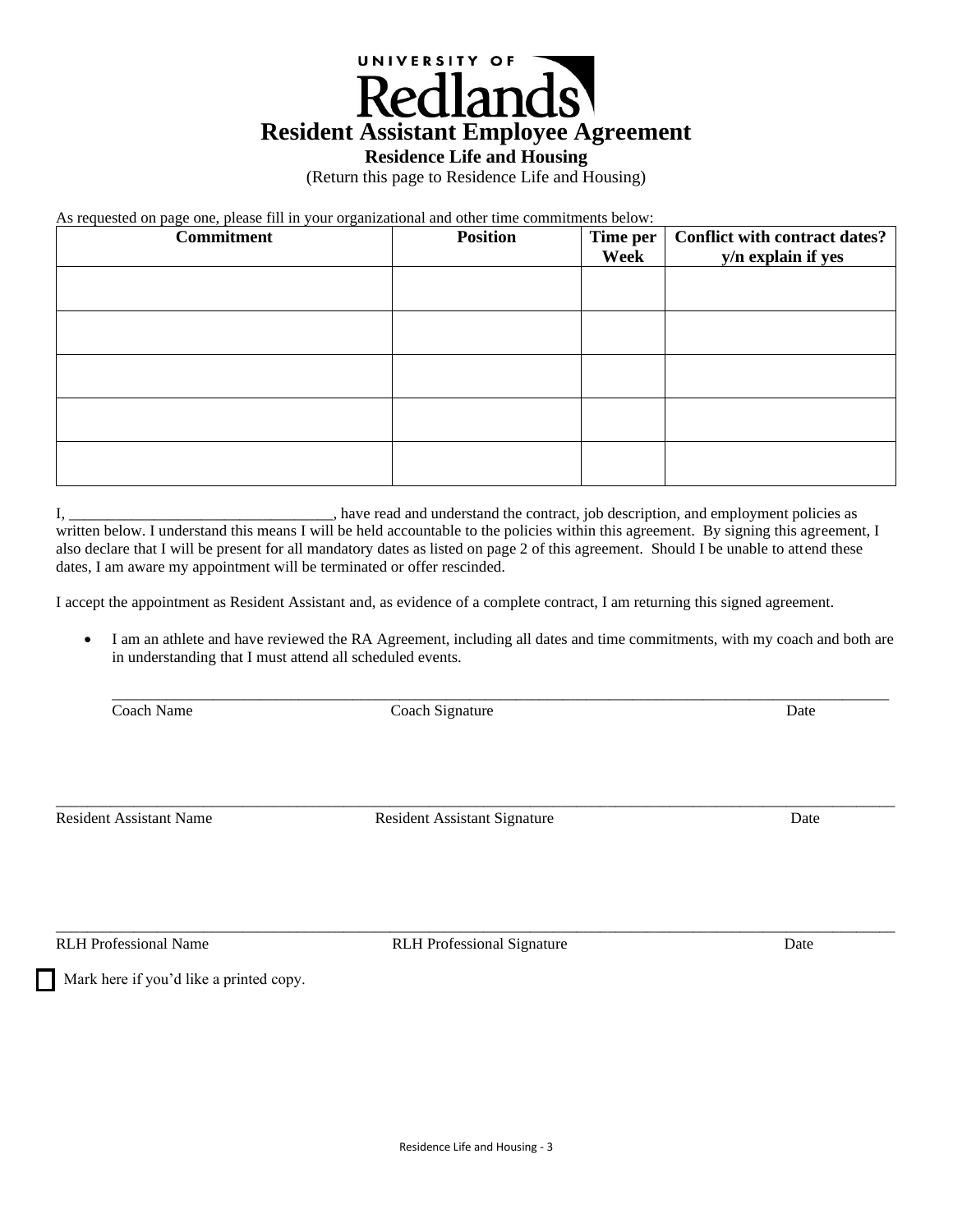

# **Residence Life and Housing**

(Return this page to Residence Life and Housing)

As requested on page one, please fill in your organizational and other time commitments below:

| <b>Commitment</b> | <b>Position</b> | Time per<br>Week | <b>Conflict with contract dates?</b><br>y/n explain if yes |
|-------------------|-----------------|------------------|------------------------------------------------------------|
|                   |                 |                  |                                                            |
|                   |                 |                  |                                                            |
|                   |                 |                  |                                                            |
|                   |                 |                  |                                                            |
|                   |                 |                  |                                                            |

I, \_\_\_\_\_\_\_\_\_\_\_\_\_\_\_\_\_\_\_\_\_\_\_\_\_\_\_\_\_\_\_\_\_\_, have read and understand the contract, job description, and employment policies as written below. I understand this means I will be held accountable to the policies within this agreement. By signing this agreement, I also declare that I will be present for all mandatory dates as listed on page 2 of this agreement. Should I be unable to attend these dates, I am aware my appointment will be terminated or offer rescinded.

I accept the appointment as Resident Assistant and, as evidence of a complete contract, I am returning this signed agreement.

• I am an athlete and have reviewed the RA Agreement, including all dates and time commitments, with my coach and both are in understanding that I must attend all scheduled events.

\_\_\_\_\_\_\_\_\_\_\_\_\_\_\_\_\_\_\_\_\_\_\_\_\_\_\_\_\_\_\_\_\_\_\_\_\_\_\_\_\_\_\_\_\_\_\_\_\_\_\_\_\_\_\_\_\_\_\_\_\_\_\_\_\_\_\_\_\_\_\_\_\_\_\_\_\_\_\_\_\_\_\_\_\_\_\_\_\_\_\_\_\_\_\_\_\_\_\_\_

Coach Name Coach Signature Date

Resident Assistant Name Resident Assistant Signature Date Date

\_\_\_\_\_\_\_\_\_\_\_\_\_\_\_\_\_\_\_\_\_\_\_\_\_\_\_\_\_\_\_\_\_\_\_\_\_\_\_\_\_\_\_\_\_\_\_\_\_\_\_\_\_\_\_\_\_\_\_\_\_\_\_\_\_\_\_\_\_\_\_\_\_\_\_\_\_\_\_\_\_\_\_\_\_\_\_\_\_\_\_\_\_\_\_\_\_\_\_\_\_\_\_\_\_\_\_\_

RLH Professional Name **RLH Professional Signature** Date

\_\_\_\_\_\_\_\_\_\_\_\_\_\_\_\_\_\_\_\_\_\_\_\_\_\_\_\_\_\_\_\_\_\_\_\_\_\_\_\_\_\_\_\_\_\_\_\_\_\_\_\_\_\_\_\_\_\_\_\_\_\_\_\_\_\_\_\_\_\_\_\_\_\_\_\_\_\_\_\_\_\_\_\_\_\_\_\_\_\_\_\_\_\_\_\_\_\_\_\_\_\_\_\_\_\_\_\_

Mark here if you'd like a printed copy.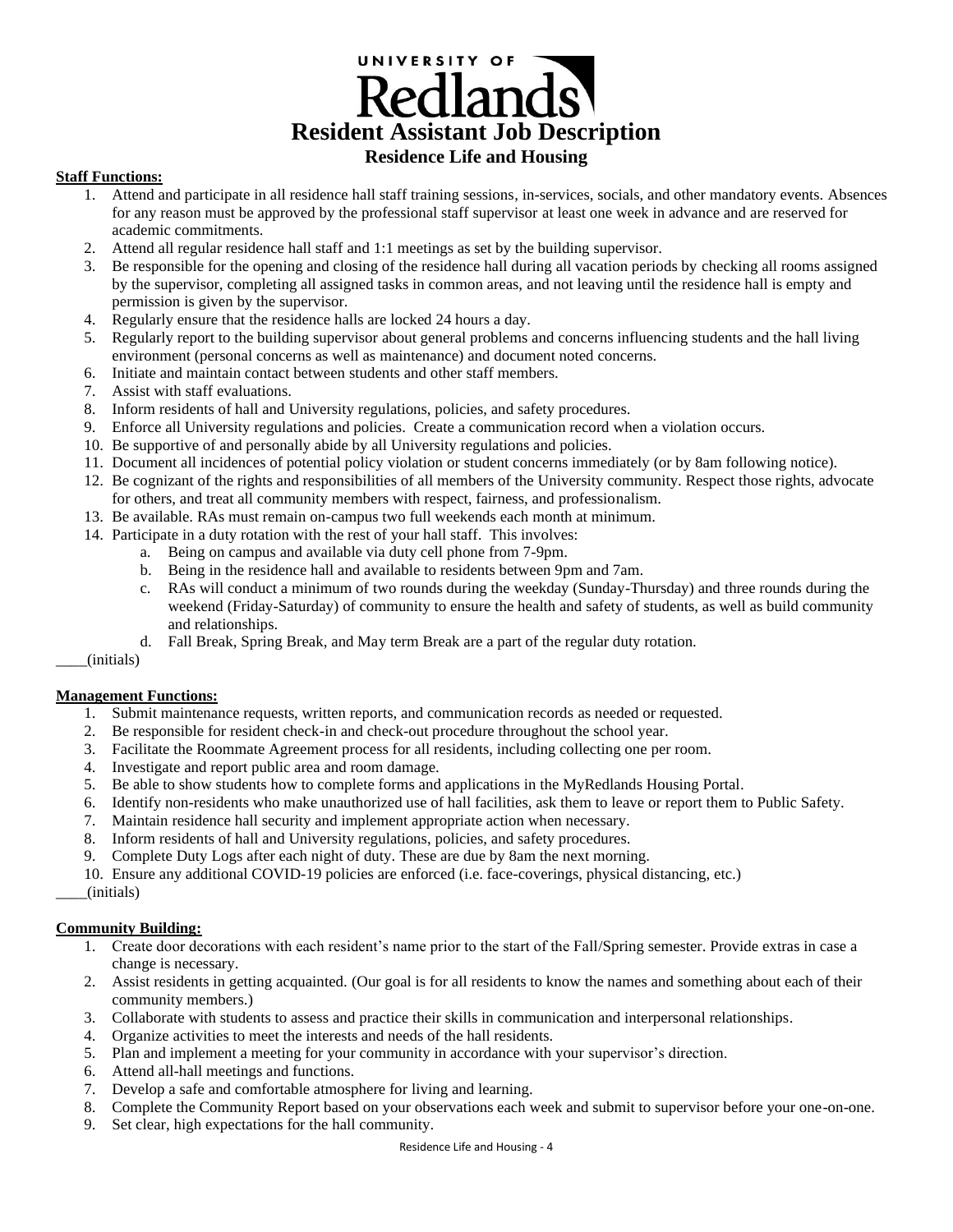# UNIVERSITY OF Redlands **Resident Assistant Job Description Residence Life and Housing**

#### **Staff Functions:**

- 1. Attend and participate in all residence hall staff training sessions, in-services, socials, and other mandatory events. Absences for any reason must be approved by the professional staff supervisor at least one week in advance and are reserved for academic commitments.
- 2. Attend all regular residence hall staff and 1:1 meetings as set by the building supervisor.
- 3. Be responsible for the opening and closing of the residence hall during all vacation periods by checking all rooms assigned by the supervisor, completing all assigned tasks in common areas, and not leaving until the residence hall is empty and permission is given by the supervisor.
- 4. Regularly ensure that the residence halls are locked 24 hours a day.
- 5. Regularly report to the building supervisor about general problems and concerns influencing students and the hall living environment (personal concerns as well as maintenance) and document noted concerns.
- 6. Initiate and maintain contact between students and other staff members.
- 7. Assist with staff evaluations.
- 8. Inform residents of hall and University regulations, policies, and safety procedures.
- 9. Enforce all University regulations and policies. Create a communication record when a violation occurs.
- 10. Be supportive of and personally abide by all University regulations and policies.
- 11. Document all incidences of potential policy violation or student concerns immediately (or by 8am following notice).
- 12. Be cognizant of the rights and responsibilities of all members of the University community. Respect those rights, advocate for others, and treat all community members with respect, fairness, and professionalism.
- 13. Be available. RAs must remain on-campus two full weekends each month at minimum.
- 14. Participate in a duty rotation with the rest of your hall staff. This involves:
	- a. Being on campus and available via duty cell phone from 7-9pm.
		- b. Being in the residence hall and available to residents between 9pm and 7am.
		- c. RAs will conduct a minimum of two rounds during the weekday (Sunday-Thursday) and three rounds during the weekend (Friday-Saturday) of community to ensure the health and safety of students, as well as build community and relationships.
	- d. Fall Break, Spring Break, and May term Break are a part of the regular duty rotation.

\_\_\_\_(initials)

#### **Management Functions:**

- 1. Submit maintenance requests, written reports, and communication records as needed or requested.
- 2. Be responsible for resident check-in and check-out procedure throughout the school year.
- 3. Facilitate the Roommate Agreement process for all residents, including collecting one per room.
- 4. Investigate and report public area and room damage.
- 5. Be able to show students how to complete forms and applications in the MyRedlands Housing Portal.
- 6. Identify non-residents who make unauthorized use of hall facilities, ask them to leave or report them to Public Safety.
- 7. Maintain residence hall security and implement appropriate action when necessary.
- 8. Inform residents of hall and University regulations, policies, and safety procedures.
- 9. Complete Duty Logs after each night of duty. These are due by 8am the next morning.

10. Ensure any additional COVID-19 policies are enforced (i.e. face-coverings, physical distancing, etc.)

# \_\_\_\_(initials)

### **Community Building:**

- 1. Create door decorations with each resident's name prior to the start of the Fall/Spring semester. Provide extras in case a change is necessary.
- 2. Assist residents in getting acquainted. (Our goal is for all residents to know the names and something about each of their community members.)
- 3. Collaborate with students to assess and practice their skills in communication and interpersonal relationships.
- 4. Organize activities to meet the interests and needs of the hall residents.
- 5. Plan and implement a meeting for your community in accordance with your supervisor's direction.
- 6. Attend all-hall meetings and functions.
- 7. Develop a safe and comfortable atmosphere for living and learning.
- 8. Complete the Community Report based on your observations each week and submit to supervisor before your one-on-one.
- 9. Set clear, high expectations for the hall community.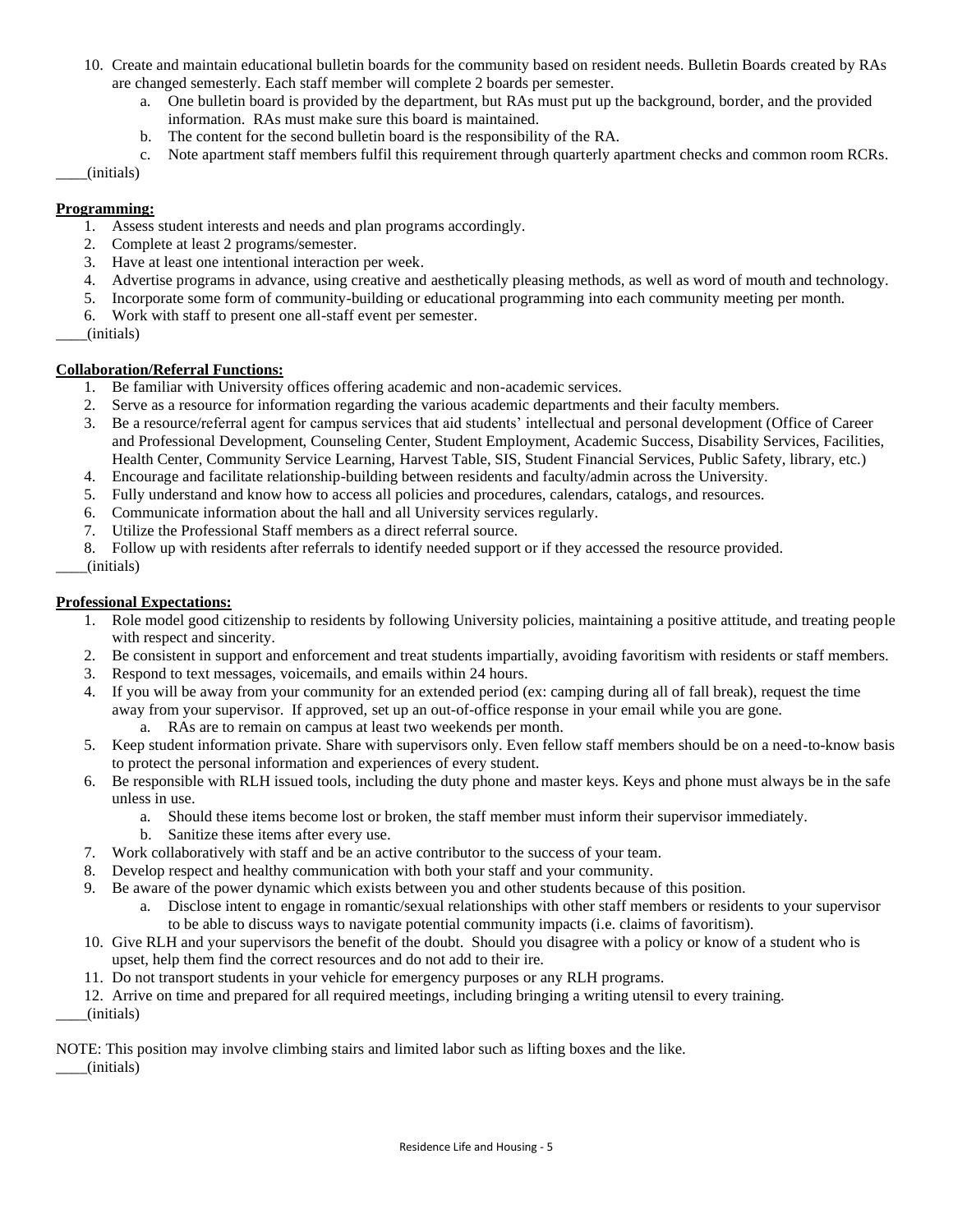- 10. Create and maintain educational bulletin boards for the community based on resident needs. Bulletin Boards created by RAs are changed semesterly. Each staff member will complete 2 boards per semester.
	- a. One bulletin board is provided by the department, but RAs must put up the background, border, and the provided information. RAs must make sure this board is maintained.
	- b. The content for the second bulletin board is the responsibility of the RA.
	- c. Note apartment staff members fulfil this requirement through quarterly apartment checks and common room RCRs.

#### \_\_\_\_(initials)

#### **Programming:**

- 1. Assess student interests and needs and plan programs accordingly.
- 2. Complete at least 2 programs/semester.
- 3. Have at least one intentional interaction per week.
- 4. Advertise programs in advance, using creative and aesthetically pleasing methods, as well as word of mouth and technology.
- 5. Incorporate some form of community-building or educational programming into each community meeting per month.
- 6. Work with staff to present one all-staff event per semester.
- \_\_\_\_(initials)

# **Collaboration/Referral Functions:**

- 1. Be familiar with University offices offering academic and non-academic services.
- 2. Serve as a resource for information regarding the various academic departments and their faculty members.
- 3. Be a resource/referral agent for campus services that aid students' intellectual and personal development (Office of Career and Professional Development, Counseling Center, Student Employment, Academic Success, Disability Services, Facilities, Health Center, Community Service Learning, Harvest Table, SIS, Student Financial Services, Public Safety, library, etc.)
- 4. Encourage and facilitate relationship-building between residents and faculty/admin across the University.
- 5. Fully understand and know how to access all policies and procedures, calendars, catalogs, and resources.
- 6. Communicate information about the hall and all University services regularly.
- 7. Utilize the Professional Staff members as a direct referral source.
- 8. Follow up with residents after referrals to identify needed support or if they accessed the resource provided.
- \_\_\_\_(initials)

### **Professional Expectations:**

- 1. Role model good citizenship to residents by following University policies, maintaining a positive attitude, and treating people with respect and sincerity.
- 2. Be consistent in support and enforcement and treat students impartially, avoiding favoritism with residents or staff members.
- 3. Respond to text messages, voicemails, and emails within 24 hours.
- 4. If you will be away from your community for an extended period (ex: camping during all of fall break), request the time away from your supervisor. If approved, set up an out-of-office response in your email while you are gone.
	- a. RAs are to remain on campus at least two weekends per month.
- 5. Keep student information private. Share with supervisors only. Even fellow staff members should be on a need-to-know basis to protect the personal information and experiences of every student.
- 6. Be responsible with RLH issued tools, including the duty phone and master keys. Keys and phone must always be in the safe unless in use.
	- a. Should these items become lost or broken, the staff member must inform their supervisor immediately.
	- b. Sanitize these items after every use.
- 7. Work collaboratively with staff and be an active contributor to the success of your team.
- 8. Develop respect and healthy communication with both your staff and your community.
- 9. Be aware of the power dynamic which exists between you and other students because of this position.
	- a. Disclose intent to engage in romantic/sexual relationships with other staff members or residents to your supervisor to be able to discuss ways to navigate potential community impacts (i.e. claims of favoritism).
- 10. Give RLH and your supervisors the benefit of the doubt. Should you disagree with a policy or know of a student who is upset, help them find the correct resources and do not add to their ire.
- 11. Do not transport students in your vehicle for emergency purposes or any RLH programs.

12. Arrive on time and prepared for all required meetings, including bringing a writing utensil to every training. \_\_\_\_(initials)

NOTE: This position may involve climbing stairs and limited labor such as lifting boxes and the like.

\_\_\_\_(initials)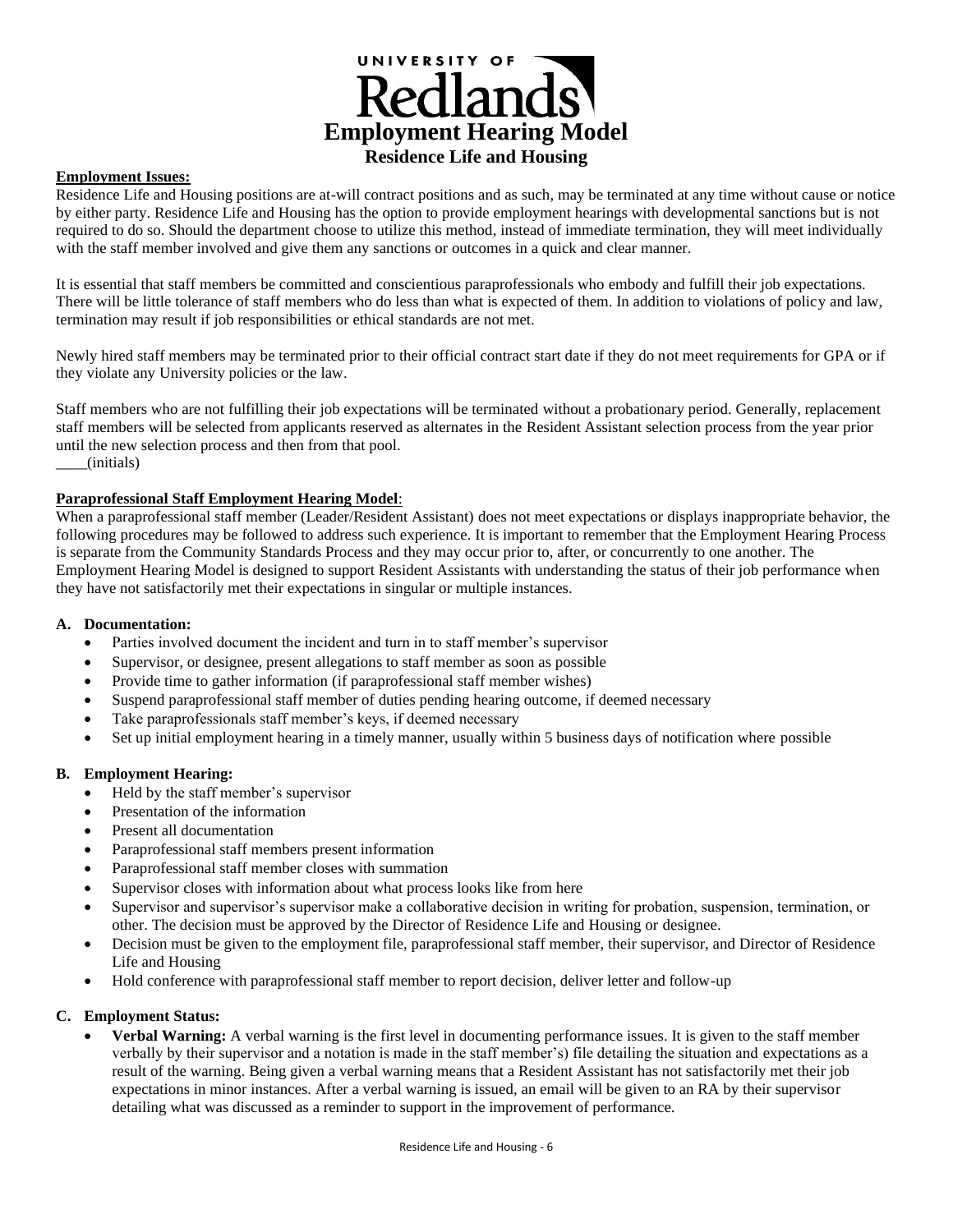

#### **Employment Issues:**

Residence Life and Housing positions are at-will contract positions and as such, may be terminated at any time without cause or notice by either party. Residence Life and Housing has the option to provide employment hearings with developmental sanctions but is not required to do so. Should the department choose to utilize this method, instead of immediate termination, they will meet individually with the staff member involved and give them any sanctions or outcomes in a quick and clear manner.

It is essential that staff members be committed and conscientious paraprofessionals who embody and fulfill their job expectations. There will be little tolerance of staff members who do less than what is expected of them. In addition to violations of policy and law, termination may result if job responsibilities or ethical standards are not met.

Newly hired staff members may be terminated prior to their official contract start date if they do not meet requirements for GPA or if they violate any University policies or the law.

Staff members who are not fulfilling their job expectations will be terminated without a probationary period. Generally, replacement staff members will be selected from applicants reserved as alternates in the Resident Assistant selection process from the year prior until the new selection process and then from that pool. \_\_\_\_(initials)

#### **Paraprofessional Staff Employment Hearing Model**:

When a paraprofessional staff member (Leader/Resident Assistant) does not meet expectations or displays inappropriate behavior, the following procedures may be followed to address such experience. It is important to remember that the Employment Hearing Process is separate from the Community Standards Process and they may occur prior to, after, or concurrently to one another. The Employment Hearing Model is designed to support Resident Assistants with understanding the status of their job performance when they have not satisfactorily met their expectations in singular or multiple instances.

#### **A. Documentation:**

- Parties involved document the incident and turn in to staff member's supervisor
- Supervisor, or designee, present allegations to staff member as soon as possible
- Provide time to gather information (if paraprofessional staff member wishes)
- Suspend paraprofessional staff member of duties pending hearing outcome, if deemed necessary
- Take paraprofessionals staff member's keys, if deemed necessary
- Set up initial employment hearing in a timely manner, usually within 5 business days of notification where possible

#### **B. Employment Hearing:**

- Held by the staff member's supervisor
- Presentation of the information
- Present all documentation
- Paraprofessional staff members present information
- Paraprofessional staff member closes with summation
- Supervisor closes with information about what process looks like from here
- Supervisor and supervisor's supervisor make a collaborative decision in writing for probation, suspension, termination, or other. The decision must be approved by the Director of Residence Life and Housing or designee.
- Decision must be given to the employment file, paraprofessional staff member, their supervisor, and Director of Residence Life and Housing
- Hold conference with paraprofessional staff member to report decision, deliver letter and follow-up

#### **C. Employment Status:**

• **Verbal Warning:** A verbal warning is the first level in documenting performance issues. It is given to the staff member verbally by their supervisor and a notation is made in the staff member's) file detailing the situation and expectations as a result of the warning. Being given a verbal warning means that a Resident Assistant has not satisfactorily met their job expectations in minor instances. After a verbal warning is issued, an email will be given to an RA by their supervisor detailing what was discussed as a reminder to support in the improvement of performance.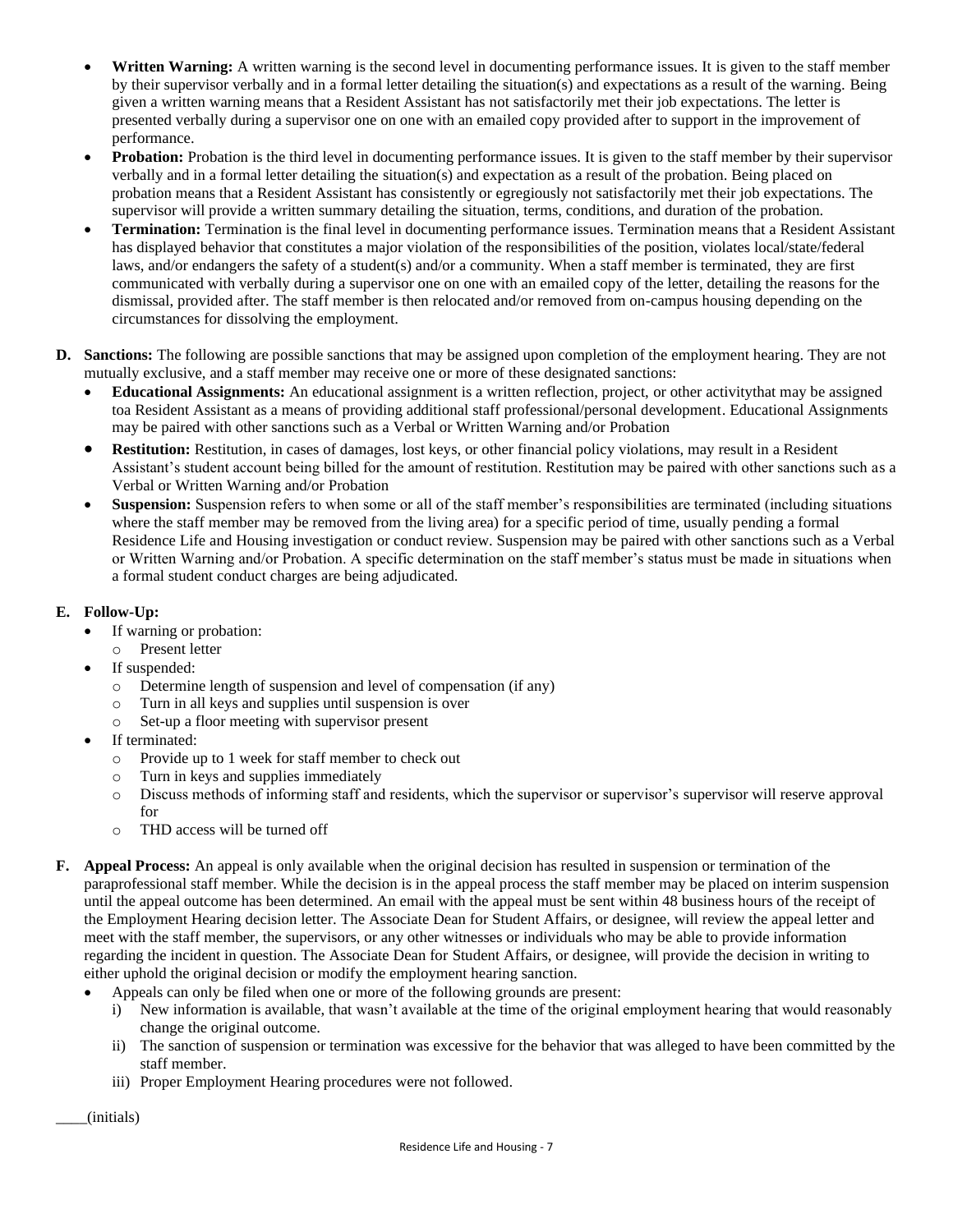- **Written Warning:** A written warning is the second level in documenting performance issues. It is given to the staff member by their supervisor verbally and in a formal letter detailing the situation(s) and expectations as a result of the warning. Being given a written warning means that a Resident Assistant has not satisfactorily met their job expectations. The letter is presented verbally during a supervisor one on one with an emailed copy provided after to support in the improvement of performance.
- **Probation:** Probation is the third level in documenting performance issues. It is given to the staff member by their supervisor verbally and in a formal letter detailing the situation(s) and expectation as a result of the probation. Being placed on probation means that a Resident Assistant has consistently or egregiously not satisfactorily met their job expectations. The supervisor will provide a written summary detailing the situation, terms, conditions, and duration of the probation.
- **Termination:** Termination is the final level in documenting performance issues. Termination means that a Resident Assistant has displayed behavior that constitutes a major violation of the responsibilities of the position, violates local/state/federal laws, and/or endangers the safety of a student(s) and/or a community. When a staff member is terminated, they are first communicated with verbally during a supervisor one on one with an emailed copy of the letter, detailing the reasons for the dismissal, provided after. The staff member is then relocated and/or removed from on-campus housing depending on the circumstances for dissolving the employment.
- **D. Sanctions:** The following are possible sanctions that may be assigned upon completion of the employment hearing. They are not mutually exclusive, and a staff member may receive one or more of these designated sanctions:
	- **Educational Assignments:** An educational assignment is a written reflection, project, or other activitythat may be assigned toa Resident Assistant as a means of providing additional staff professional/personal development. Educational Assignments may be paired with other sanctions such as a Verbal or Written Warning and/or Probation
	- **Restitution:** Restitution, in cases of damages, lost keys, or other financial policy violations, may result in a Resident Assistant's student account being billed for the amount of restitution. Restitution may be paired with other sanctions such as a Verbal or Written Warning and/or Probation
	- **Suspension:** Suspension refers to when some or all of the staff member's responsibilities are terminated (including situations where the staff member may be removed from the living area) for a specific period of time, usually pending a formal Residence Life and Housing investigation or conduct review. Suspension may be paired with other sanctions such as a Verbal or Written Warning and/or Probation. A specific determination on the staff member's status must be made in situations when a formal student conduct charges are being adjudicated.

# **E. Follow-Up:**

- If warning or probation:
	- o Present letter
- If suspended:
	- o Determine length of suspension and level of compensation (if any)
	- o Turn in all keys and supplies until suspension is over
	- o Set-up a floor meeting with supervisor present
- If terminated:
	- o Provide up to 1 week for staff member to check out
	- o Turn in keys and supplies immediately
	- o Discuss methods of informing staff and residents, which the supervisor or supervisor's supervisor will reserve approval for
	- o THD access will be turned off
- **F. Appeal Process:** An appeal is only available when the original decision has resulted in suspension or termination of the paraprofessional staff member. While the decision is in the appeal process the staff member may be placed on interim suspension until the appeal outcome has been determined. An email with the appeal must be sent within 48 business hours of the receipt of the Employment Hearing decision letter. The Associate Dean for Student Affairs, or designee, will review the appeal letter and meet with the staff member, the supervisors, or any other witnesses or individuals who may be able to provide information regarding the incident in question. The Associate Dean for Student Affairs, or designee, will provide the decision in writing to either uphold the original decision or modify the employment hearing sanction.
	- Appeals can only be filed when one or more of the following grounds are present:
		- i) New information is available, that wasn't available at the time of the original employment hearing that would reasonably change the original outcome.
		- ii) The sanction of suspension or termination was excessive for the behavior that was alleged to have been committed by the staff member.
		- iii) Proper Employment Hearing procedures were not followed.

\_\_\_\_(initials)